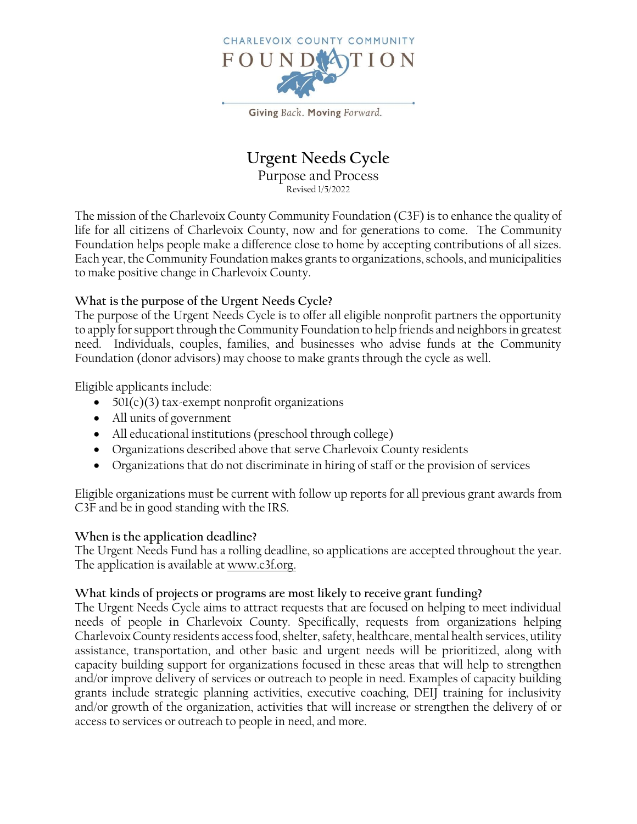

Giving Back. Moving Forward.

# **Urgent Needs Cycle** Purpose and Process

Revised 1/5/2022

The mission of the Charlevoix County Community Foundation (C3F) is to enhance the quality of life for all citizens of Charlevoix County, now and for generations to come. The Community Foundation helps people make a difference close to home by accepting contributions of all sizes. Each year, the Community Foundation makes grants to organizations, schools, and municipalities to make positive change in Charlevoix County.

## **What is the purpose of the Urgent Needs Cycle?**

The purpose of the Urgent Needs Cycle is to offer all eligible nonprofit partners the opportunity to apply for support through the Community Foundation to help friends and neighbors in greatest need. Individuals, couples, families, and businesses who advise funds at the Community Foundation (donor advisors) may choose to make grants through the cycle as well.

Eligible applicants include:

- $501(c)(3)$  tax-exempt nonprofit organizations
- All units of government
- All educational institutions (preschool through college)
- Organizations described above that serve Charlevoix County residents
- Organizations that do not discriminate in hiring of staff or the provision of services

Eligible organizations must be current with follow up reports for all previous grant awards from C3F and be in good standing with the IRS.

#### **When is the application deadline?**

The Urgent Needs Fund has a rolling deadline, so applications are accepted throughout the year. The application is available at [www.c3f.org.](http://www.c3f.org/)

#### **What kinds of projects or programs are most likely to receive grant funding?**

The Urgent Needs Cycle aims to attract requests that are focused on helping to meet individual needs of people in Charlevoix County. Specifically, requests from organizations helping Charlevoix County residents access food, shelter, safety, healthcare, mental health services, utility assistance, transportation, and other basic and urgent needs will be prioritized, along with capacity building support for organizations focused in these areas that will help to strengthen and/or improve delivery of services or outreach to people in need. Examples of capacity building grants include strategic planning activities, executive coaching, DEIJ training for inclusivity and/or growth of the organization, activities that will increase or strengthen the delivery of or access to services or outreach to people in need, and more.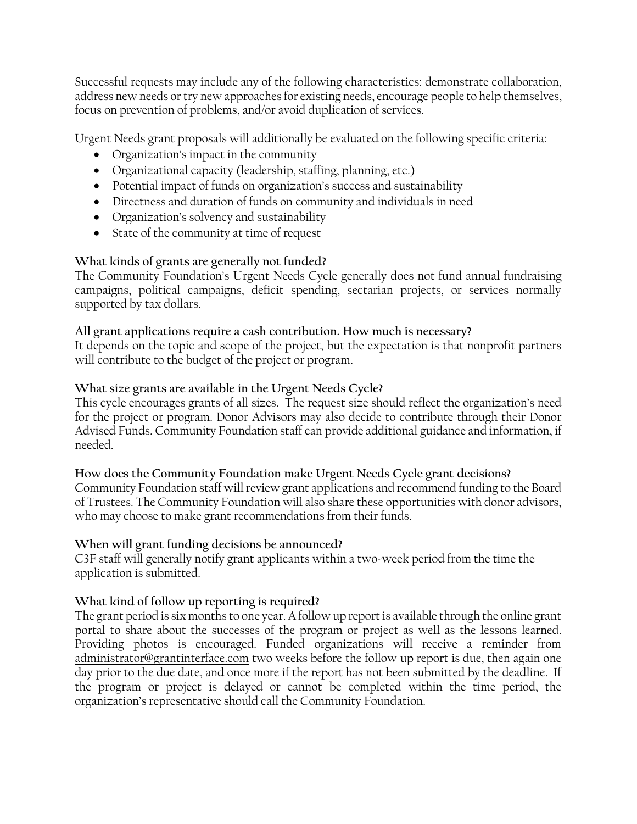Successful requests may include any of the following characteristics: demonstrate collaboration, address new needs or try new approaches for existing needs, encourage people to help themselves, focus on prevention of problems, and/or avoid duplication of services.

Urgent Needs grant proposals will additionally be evaluated on the following specific criteria:

- Organization's impact in the community
- Organizational capacity (leadership, staffing, planning, etc.)
- Potential impact of funds on organization's success and sustainability
- Directness and duration of funds on community and individuals in need
- Organization's solvency and sustainability
- State of the community at time of request

# **What kinds of grants are generally not funded?**

The Community Foundation's Urgent Needs Cycle generally does not fund annual fundraising campaigns, political campaigns, deficit spending, sectarian projects, or services normally supported by tax dollars.

## **All grant applications require a cash contribution. How much is necessary?**

It depends on the topic and scope of the project, but the expectation is that nonprofit partners will contribute to the budget of the project or program.

#### **What size grants are available in the Urgent Needs Cycle?**

This cycle encourages grants of all sizes. The request size should reflect the organization's need for the project or program. Donor Advisors may also decide to contribute through their Donor Advised Funds. Community Foundation staff can provide additional guidance and information, if needed.

#### **How does the Community Foundation make Urgent Needs Cycle grant decisions?**

Community Foundation staff will review grant applications and recommend funding to the Board of Trustees. The Community Foundation will also share these opportunities with donor advisors, who may choose to make grant recommendations from their funds.

## **When will grant funding decisions be announced?**

C3F staff will generally notify grant applicants within a two-week period from the time the application is submitted.

## **What kind of follow up reporting is required?**

The grant period is six months to one year. A follow up report is available through the online grant portal to share about the successes of the program or project as well as the lessons learned. Providing photos is encouraged. Funded organizations will receive a reminder from [administrator@grantinterface.com](mailto:administrator@grantinterface.com) two weeks before the follow up report is due, then again one day prior to the due date, and once more if the report has not been submitted by the deadline. If the program or project is delayed or cannot be completed within the time period, the organization's representative should call the Community Foundation.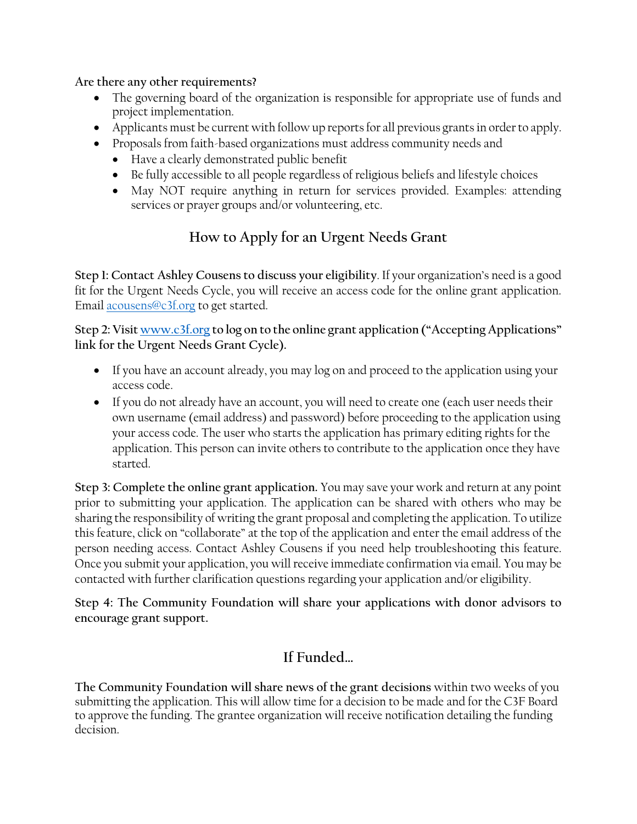**Are there any other requirements?**

- The governing board of the organization is responsible for appropriate use of funds and project implementation.
- Applicants must be current with follow up reports for all previous grants in order to apply.
- Proposals from faith-based organizations must address community needs and
	- Have a clearly demonstrated public benefit
	- Be fully accessible to all people regardless of religious beliefs and lifestyle choices
	- May NOT require anything in return for services provided. Examples: attending services or prayer groups and/or volunteering, etc.

# **How to Apply for an Urgent Needs Grant**

**Step 1: Contact Ashley Cousens to discuss your eligibility**. If your organization's need is a good fit for the Urgent Needs Cycle, you will receive an access code for the online grant application. Email acousens@c3f.org to get started.

**Step 2: Visit [www.c3f.org](http://www.c3f.org/) to log on to the online grant application ("Accepting Applications" link for the Urgent Needs Grant Cycle).**

- If you have an account already, you may log on and proceed to the application using your access code.
- If you do not already have an account, you will need to create one (each user needs their own username (email address) and password) before proceeding to the application using your access code. The user who starts the application has primary editing rights for the application. This person can invite others to contribute to the application once they have started.

**Step 3: Complete the online grant application.** You may save your work and return at any point prior to submitting your application. The application can be shared with others who may be sharing the responsibility of writing the grant proposal and completing the application. To utilize this feature, click on "collaborate" at the top of the application and enter the email address of the person needing access. Contact Ashley Cousens if you need help troubleshooting this feature. Once you submit your application, you will receive immediate confirmation via email. You may be contacted with further clarification questions regarding your application and/or eligibility.

**Step 4: The Community Foundation will share your applications with donor advisors to encourage grant support.** 

# **If Funded…**

**The Community Foundation will share news of the grant decisions** within two weeks of you submitting the application. This will allow time for a decision to be made and for the C3F Board to approve the funding. The grantee organization will receive notification detailing the funding decision.